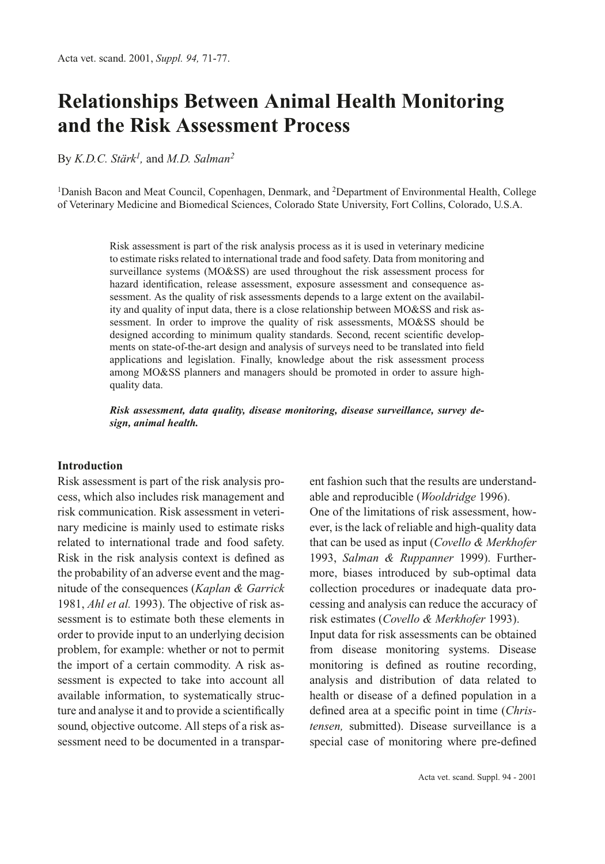# **Relationships Between Animal Health Monitoring and the Risk Assessment Process**

By *K.D.C. Stärk1,* and *M.D. Salman<sup>2</sup>*

<sup>1</sup>Danish Bacon and Meat Council, Copenhagen, Denmark, and <sup>2</sup>Department of Environmental Health, College of Veterinary Medicine and Biomedical Sciences, Colorado State University, Fort Collins, Colorado, U.S.A.

> Risk assessment is part of the risk analysis process as it is used in veterinary medicine to estimate risks related to international trade and food safety. Data from monitoring and surveillance systems (MO&SS) are used throughout the risk assessment process for hazard identification, release assessment, exposure assessment and consequence assessment. As the quality of risk assessments depends to a large extent on the availability and quality of input data, there is a close relationship between MO&SS and risk assessment. In order to improve the quality of risk assessments, MO&SS should be designed according to minimum quality standards. Second, recent scientific developments on state-of-the-art design and analysis of surveys need to be translated into field applications and legislation. Finally, knowledge about the risk assessment process among MO&SS planners and managers should be promoted in order to assure highquality data.

> *Risk assessment, data quality, disease monitoring, disease surveillance, survey design, animal health.*

#### **Introduction**

Risk assessment is part of the risk analysis process, which also includes risk management and risk communication. Risk assessment in veterinary medicine is mainly used to estimate risks related to international trade and food safety. Risk in the risk analysis context is defined as the probability of an adverse event and the magnitude of the consequences (*Kaplan & Garrick* 1981, *Ahl et al.* 1993). The objective of risk assessment is to estimate both these elements in order to provide input to an underlying decision problem, for example: whether or not to permit the import of a certain commodity. A risk assessment is expected to take into account all available information, to systematically structure and analyse it and to provide a scientifically sound, objective outcome. All steps of a risk assessment need to be documented in a transparent fashion such that the results are understandable and reproducible (*Wooldridge* 1996). One of the limitations of risk assessment, however, is the lack of reliable and high-quality data that can be used as input (*Covello & Merkhofer* 1993, *Salman & Ruppanner* 1999). Furthermore, biases introduced by sub-optimal data collection procedures or inadequate data processing and analysis can reduce the accuracy of risk estimates (*Covello & Merkhofer* 1993).

Input data for risk assessments can be obtained from disease monitoring systems. Disease monitoring is defined as routine recording, analysis and distribution of data related to health or disease of a defined population in a defined area at a specific point in time (*Christensen,* submitted). Disease surveillance is a special case of monitoring where pre-defined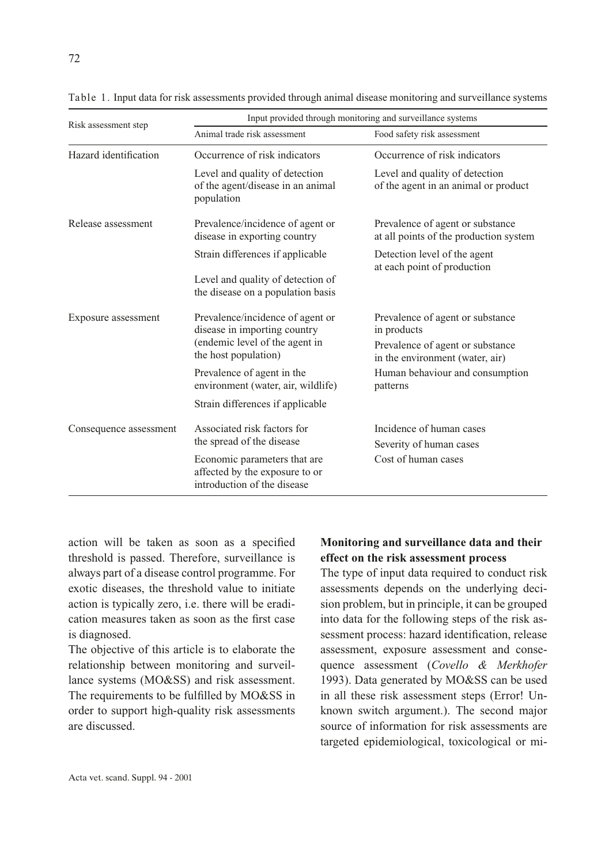| Risk assessment step   | Input provided through monitoring and surveillance systems                                                                 |                                                                            |
|------------------------|----------------------------------------------------------------------------------------------------------------------------|----------------------------------------------------------------------------|
|                        | Animal trade risk assessment                                                                                               | Food safety risk assessment                                                |
| Hazard identification  | Occurrence of risk indicators                                                                                              | Occurrence of risk indicators                                              |
|                        | Level and quality of detection<br>of the agent/disease in an animal<br>population                                          | Level and quality of detection<br>of the agent in an animal or product     |
| Release assessment     | Prevalence/incidence of agent or<br>disease in exporting country                                                           | Prevalence of agent or substance<br>at all points of the production system |
|                        | Strain differences if applicable                                                                                           | Detection level of the agent<br>at each point of production                |
|                        | Level and quality of detection of<br>the disease on a population basis                                                     |                                                                            |
| Exposure assessment    | Prevalence/incidence of agent or<br>disease in importing country<br>(endemic level of the agent in<br>the host population) | Prevalence of agent or substance<br>in products                            |
|                        |                                                                                                                            | Prevalence of agent or substance<br>in the environment (water, air)        |
|                        | Prevalence of agent in the<br>environment (water, air, wildlife)                                                           | Human behaviour and consumption<br>patterns                                |
|                        | Strain differences if applicable                                                                                           |                                                                            |
| Consequence assessment | Associated risk factors for<br>the spread of the disease                                                                   | Incidence of human cases<br>Severity of human cases                        |
|                        | Economic parameters that are<br>affected by the exposure to or<br>introduction of the disease                              | Cost of human cases                                                        |

Table 1. Input data for risk assessments provided through animal disease monitoring and surveillance systems

action will be taken as soon as a specified threshold is passed. Therefore, surveillance is always part of a disease control programme. For exotic diseases, the threshold value to initiate action is typically zero, i.e. there will be eradication measures taken as soon as the first case is diagnosed.

The objective of this article is to elaborate the relationship between monitoring and surveillance systems (MO&SS) and risk assessment. The requirements to be fulfilled by MO&SS in order to support high-quality risk assessments are discussed.

## **Monitoring and surveillance data and their effect on the risk assessment process**

The type of input data required to conduct risk assessments depends on the underlying decision problem, but in principle, it can be grouped into data for the following steps of the risk assessment process: hazard identification, release assessment, exposure assessment and consequence assessment (*Covello & Merkhofer* 1993). Data generated by MO&SS can be used in all these risk assessment steps (Error! Unknown switch argument.). The second major source of information for risk assessments are targeted epidemiological, toxicological or mi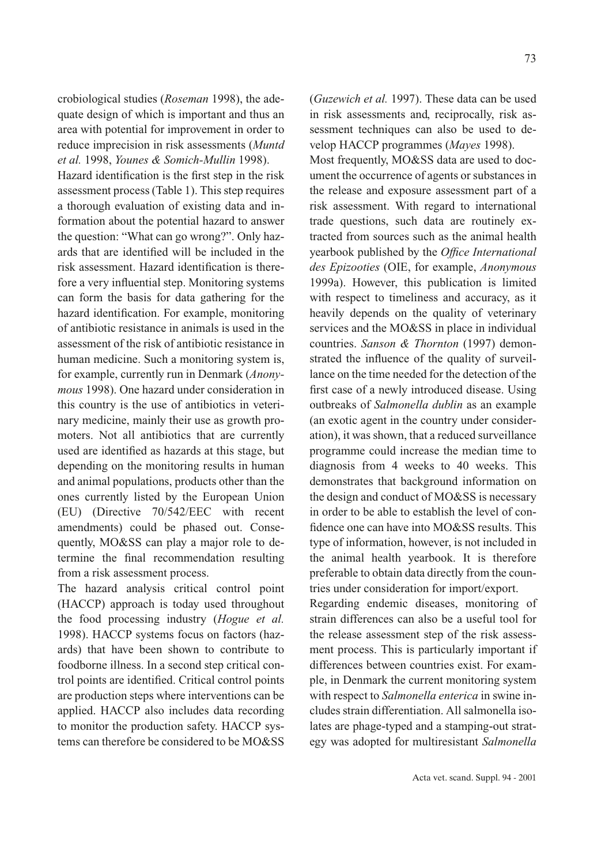crobiological studies (*Roseman* 1998), the adequate design of which is important and thus an area with potential for improvement in order to reduce imprecision in risk assessments (*Muntd et al.* 1998, *Younes & Somich-Mullin* 1998).

Hazard identification is the first step in the risk assessment process (Table 1). This step requires a thorough evaluation of existing data and information about the potential hazard to answer the question: "What can go wrong?". Only hazards that are identified will be included in the risk assessment. Hazard identification is therefore a very influential step. Monitoring systems can form the basis for data gathering for the hazard identification. For example, monitoring of antibiotic resistance in animals is used in the assessment of the risk of antibiotic resistance in human medicine. Such a monitoring system is, for example, currently run in Denmark (*Anonymous* 1998). One hazard under consideration in this country is the use of antibiotics in veterinary medicine, mainly their use as growth promoters. Not all antibiotics that are currently used are identified as hazards at this stage, but depending on the monitoring results in human and animal populations, products other than the ones currently listed by the European Union (EU) (Directive 70/542/EEC with recent amendments) could be phased out. Consequently, MO&SS can play a major role to determine the final recommendation resulting from a risk assessment process.

The hazard analysis critical control point (HACCP) approach is today used throughout the food processing industry (*Hogue et al.* 1998). HACCP systems focus on factors (hazards) that have been shown to contribute to foodborne illness. In a second step critical control points are identified. Critical control points are production steps where interventions can be applied. HACCP also includes data recording to monitor the production safety. HACCP systems can therefore be considered to be MO&SS

(*Guzewich et al.* 1997). These data can be used in risk assessments and, reciprocally, risk assessment techniques can also be used to develop HACCP programmes (*Mayes* 1998).

Most frequently, MO&SS data are used to document the occurrence of agents or substances in the release and exposure assessment part of a risk assessment. With regard to international trade questions, such data are routinely extracted from sources such as the animal health yearbook published by the *Office International des Epizooties* (OIE, for example, *Anonymous* 1999a). However, this publication is limited with respect to timeliness and accuracy, as it heavily depends on the quality of veterinary services and the MO&SS in place in individual countries. *Sanson & Thornton* (1997) demonstrated the influence of the quality of surveillance on the time needed for the detection of the first case of a newly introduced disease. Using outbreaks of *Salmonella dublin* as an example (an exotic agent in the country under consideration), it was shown, that a reduced surveillance programme could increase the median time to diagnosis from 4 weeks to 40 weeks. This demonstrates that background information on the design and conduct of MO&SS is necessary in order to be able to establish the level of confidence one can have into MO&SS results. This type of information, however, is not included in the animal health yearbook. It is therefore preferable to obtain data directly from the countries under consideration for import/export.

Regarding endemic diseases, monitoring of strain differences can also be a useful tool for the release assessment step of the risk assessment process. This is particularly important if differences between countries exist. For example, in Denmark the current monitoring system with respect to *Salmonella enterica* in swine includes strain differentiation. All salmonella isolates are phage-typed and a stamping-out strategy was adopted for multiresistant *Salmonella*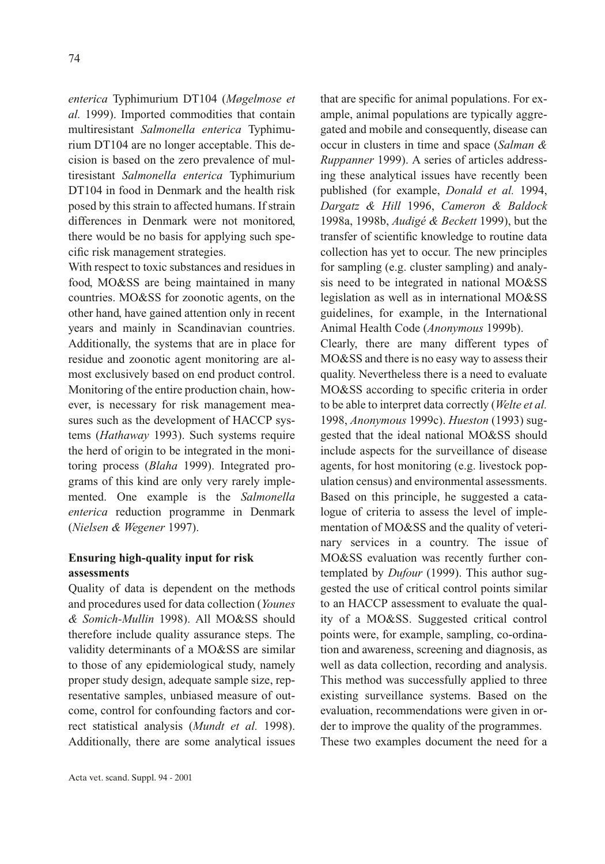*enterica* Typhimurium DT104 (*Møgelmose et al.* 1999). Imported commodities that contain multiresistant *Salmonella enterica* Typhimurium DT104 are no longer acceptable. This decision is based on the zero prevalence of multiresistant *Salmonella enterica* Typhimurium DT104 in food in Denmark and the health risk posed by this strain to affected humans. If strain differences in Denmark were not monitored, there would be no basis for applying such specific risk management strategies.

With respect to toxic substances and residues in food, MO&SS are being maintained in many countries. MO&SS for zoonotic agents, on the other hand, have gained attention only in recent years and mainly in Scandinavian countries. Additionally, the systems that are in place for residue and zoonotic agent monitoring are almost exclusively based on end product control. Monitoring of the entire production chain, however, is necessary for risk management measures such as the development of HACCP systems (*Hathaway* 1993). Such systems require the herd of origin to be integrated in the monitoring process (*Blaha* 1999). Integrated programs of this kind are only very rarely implemented. One example is the *Salmonella enterica* reduction programme in Denmark (*Nielsen & Wegener* 1997).

## **Ensuring high-quality input for risk assessments**

Quality of data is dependent on the methods and procedures used for data collection (*Younes & Somich-Mullin* 1998). All MO&SS should therefore include quality assurance steps. The validity determinants of a MO&SS are similar to those of any epidemiological study, namely proper study design, adequate sample size, representative samples, unbiased measure of outcome, control for confounding factors and correct statistical analysis (*Mundt et al.* 1998). Additionally, there are some analytical issues

that are specific for animal populations. For example, animal populations are typically aggregated and mobile and consequently, disease can occur in clusters in time and space (*Salman & Ruppanner* 1999). A series of articles addressing these analytical issues have recently been published (for example, *Donald et al.* 1994, *Dargatz & Hill* 1996, *Cameron & Baldock* 1998a, 1998b, *Audigé & Beckett* 1999), but the transfer of scientific knowledge to routine data collection has yet to occur. The new principles for sampling (e.g. cluster sampling) and analysis need to be integrated in national MO&SS legislation as well as in international MO&SS guidelines, for example, in the International Animal Health Code (*Anonymous* 1999b).

Clearly, there are many different types of MO&SS and there is no easy way to assess their quality. Nevertheless there is a need to evaluate MO&SS according to specific criteria in order to be able to interpret data correctly (*Welte et al.* 1998, *Anonymous* 1999c). *Hueston* (1993) suggested that the ideal national MO&SS should include aspects for the surveillance of disease agents, for host monitoring (e.g. livestock population census) and environmental assessments. Based on this principle, he suggested a catalogue of criteria to assess the level of implementation of MO&SS and the quality of veterinary services in a country. The issue of MO&SS evaluation was recently further contemplated by *Dufour* (1999). This author suggested the use of critical control points similar to an HACCP assessment to evaluate the quality of a MO&SS. Suggested critical control points were, for example, sampling, co-ordination and awareness, screening and diagnosis, as well as data collection, recording and analysis. This method was successfully applied to three existing surveillance systems. Based on the evaluation, recommendations were given in order to improve the quality of the programmes. These two examples document the need for a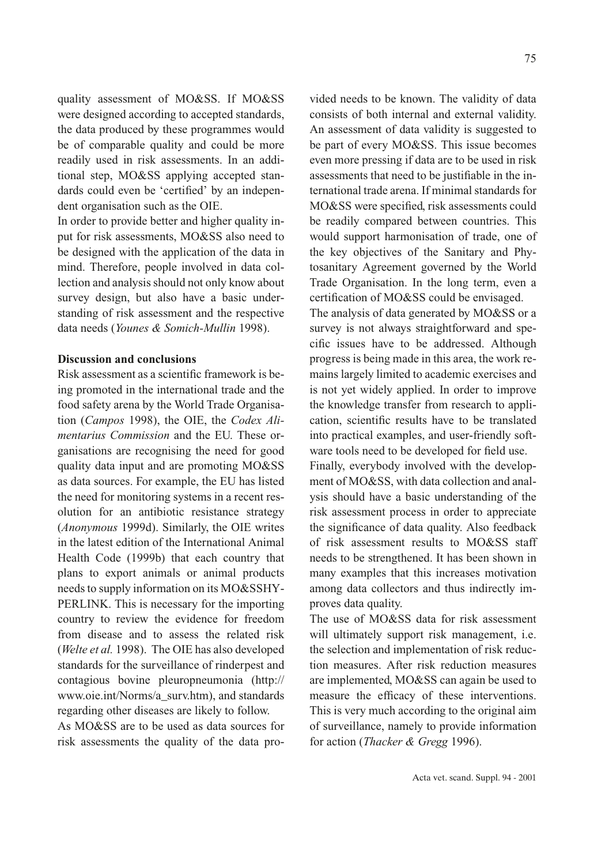quality assessment of MO&SS. If MO&SS were designed according to accepted standards, the data produced by these programmes would be of comparable quality and could be more readily used in risk assessments. In an additional step, MO&SS applying accepted standards could even be 'certified' by an independent organisation such as the OIE.

In order to provide better and higher quality input for risk assessments, MO&SS also need to be designed with the application of the data in mind. Therefore, people involved in data collection and analysis should not only know about survey design, but also have a basic understanding of risk assessment and the respective data needs (*Younes & Somich-Mullin* 1998).

## **Discussion and conclusions**

Risk assessment as a scientific framework is being promoted in the international trade and the food safety arena by the World Trade Organisation (*Campos* 1998), the OIE, the *Codex Alimentarius Commission* and the EU. These organisations are recognising the need for good quality data input and are promoting MO&SS as data sources. For example, the EU has listed the need for monitoring systems in a recent resolution for an antibiotic resistance strategy (*Anonymous* 1999d). Similarly, the OIE writes in the latest edition of the International Animal Health Code (1999b) that each country that plans to export animals or animal products needs to supply information on its MO&SSHY-PERLINK. This is necessary for the importing country to review the evidence for freedom from disease and to assess the related risk (*Welte et al.* 1998). The OIE has also developed standards for the surveillance of rinderpest and contagious bovine pleuropneumonia (http:// www.oie.int/Norms/a\_surv.htm), and standards regarding other diseases are likely to follow.

As MO&SS are to be used as data sources for risk assessments the quality of the data provided needs to be known. The validity of data consists of both internal and external validity. An assessment of data validity is suggested to be part of every MO&SS. This issue becomes even more pressing if data are to be used in risk assessments that need to be justifiable in the international trade arena. If minimal standards for MO&SS were specified, risk assessments could be readily compared between countries. This would support harmonisation of trade, one of the key objectives of the Sanitary and Phytosanitary Agreement governed by the World Trade Organisation. In the long term, even a certification of MO&SS could be envisaged.

The analysis of data generated by MO&SS or a survey is not always straightforward and specific issues have to be addressed. Although progress is being made in this area, the work remains largely limited to academic exercises and is not yet widely applied. In order to improve the knowledge transfer from research to application, scientific results have to be translated into practical examples, and user-friendly software tools need to be developed for field use.

Finally, everybody involved with the development of MO&SS, with data collection and analysis should have a basic understanding of the risk assessment process in order to appreciate the significance of data quality. Also feedback of risk assessment results to MO&SS staff needs to be strengthened. It has been shown in many examples that this increases motivation among data collectors and thus indirectly improves data quality.

The use of MO&SS data for risk assessment will ultimately support risk management, i.e. the selection and implementation of risk reduction measures. After risk reduction measures are implemented, MO&SS can again be used to measure the efficacy of these interventions. This is very much according to the original aim of surveillance, namely to provide information for action (*Thacker & Gregg* 1996).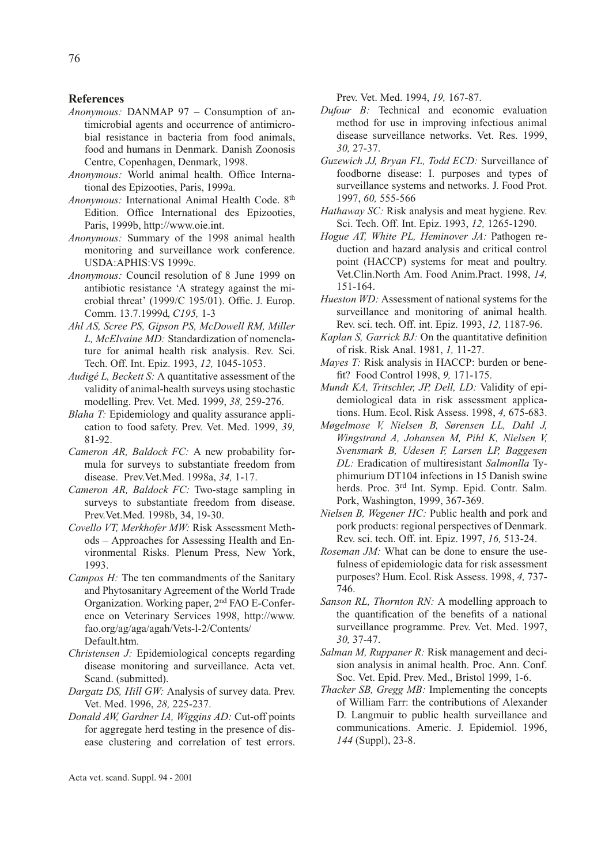#### **References**

- *Anonymous:* DANMAP 97 Consumption of antimicrobial agents and occurrence of antimicrobial resistance in bacteria from food animals, food and humans in Denmark. Danish Zoonosis Centre, Copenhagen, Denmark, 1998.
- *Anonymous:* World animal health. Office International des Epizooties, Paris, 1999a.
- Anonymous: International Animal Health Code. 8<sup>th</sup> Edition. Office International des Epizooties, Paris, 1999b, http://www.oie.int.
- *Anonymous:* Summary of the 1998 animal health monitoring and surveillance work conference. USDA:APHIS:VS 1999c.
- *Anonymous:* Council resolution of 8 June 1999 on antibiotic resistance 'A strategy against the microbial threat' (1999/C 195/01). Offic. J. Europ. Comm. 13.7.1999d, *C195,* 1-3
- *Ahl AS, Scree PS, Gipson PS, McDowell RM, Miller L, McElvaine MD:* Standardization of nomenclature for animal health risk analysis. Rev. Sci. Tech. Off. Int. Epiz. 1993, *12,* 1045-1053.
- *Audigé L, Beckett S:* A quantitative assessment of the validity of animal-health surveys using stochastic modelling. Prev. Vet. Med. 1999, *38,* 259-276.
- *Blaha T:* Epidemiology and quality assurance application to food safety. Prev. Vet. Med. 1999, *39,* 81-92.
- *Cameron AR, Baldock FC:* A new probability formula for surveys to substantiate freedom from disease. Prev.Vet.Med. 1998a, *34,* 1-17.
- *Cameron AR, Baldock FC:* Two-stage sampling in surveys to substantiate freedom from disease. Prev.Vet.Med. 1998b, 34, 19-30.
- *Covello VT, Merkhofer MW:* Risk Assessment Methods – Approaches for Assessing Health and Environmental Risks. Plenum Press, New York, 1993.
- *Campos H:* The ten commandments of the Sanitary and Phytosanitary Agreement of the World Trade Organization. Working paper, 2nd FAO E-Conference on Veterinary Services 1998, http://www. fao.org/ag/aga/agah/Vets-l-2/Contents/ Default.htm.
- *Christensen J:* Epidemiological concepts regarding disease monitoring and surveillance. Acta vet. Scand. (submitted).
- *Dargatz DS, Hill GW:* Analysis of survey data. Prev. Vet. Med. 1996, *28,* 225-237.
- *Donald AW, Gardner IA, Wiggins AD:* Cut-off points for aggregate herd testing in the presence of disease clustering and correlation of test errors.

Prev. Vet. Med. 1994, *19,* 167-87.

- *Dufour B:* Technical and economic evaluation method for use in improving infectious animal disease surveillance networks. Vet. Res. 1999, *30,* 27-37.
- *Guzewich JJ, Bryan FL, Todd ECD:* Surveillance of foodborne disease: I. purposes and types of surveillance systems and networks. J. Food Prot. 1997, *60,* 555-566
- *Hathaway SC:* Risk analysis and meat hygiene. Rev. Sci. Tech. Off. Int. Epiz. 1993, *12,* 1265-1290.
- *Hogue AT, White PL, Heminover JA:* Pathogen reduction and hazard analysis and critical control point (HACCP) systems for meat and poultry. Vet.Clin.North Am. Food Anim.Pract. 1998, *14,* 151-164.
- *Hueston WD:* Assessment of national systems for the surveillance and monitoring of animal health. Rev. sci. tech. Off. int. Epiz. 1993, *12,* 1187-96.
- *Kaplan S, Garrick BJ:* On the quantitative definition of risk. Risk Anal. 1981, *1,* 11-27.
- *Mayes T:* Risk analysis in HACCP: burden or benefit? Food Control 1998, *9,* 171-175.
- *Mundt KA, Tritschler, JP, Dell, LD:* Validity of epidemiological data in risk assessment applications. Hum. Ecol. Risk Assess. 1998, *4,* 675-683.
- *Møgelmose V, Nielsen B, Sørensen LL, Dahl J, Wingstrand A, Johansen M, Pihl K, Nielsen V, Svensmark B, Udesen F, Larsen LP, Baggesen DL:* Eradication of multiresistant *Salmonlla* Typhimurium DT104 infections in 15 Danish swine herds. Proc. 3rd Int. Symp. Epid. Contr. Salm. Pork, Washington, 1999, 367-369.
- *Nielsen B, Wegener HC:* Public health and pork and pork products: regional perspectives of Denmark. Rev. sci. tech. Off. int. Epiz. 1997, *16,* 513-24.
- *Roseman JM:* What can be done to ensure the usefulness of epidemiologic data for risk assessment purposes? Hum. Ecol. Risk Assess. 1998, *4,* 737- 746.
- *Sanson RL, Thornton RN: A modelling approach to* the quantification of the benefits of a national surveillance programme. Prev. Vet. Med. 1997, *30,* 37-47.
- *Salman M, Ruppaner R:* Risk management and decision analysis in animal health. Proc. Ann. Conf. Soc. Vet. Epid. Prev. Med., Bristol 1999, 1-6.
- *Thacker SB, Gregg MB:* Implementing the concepts of William Farr: the contributions of Alexander D. Langmuir to public health surveillance and communications. Americ. J. Epidemiol. 1996, *144* (Suppl), 23-8.